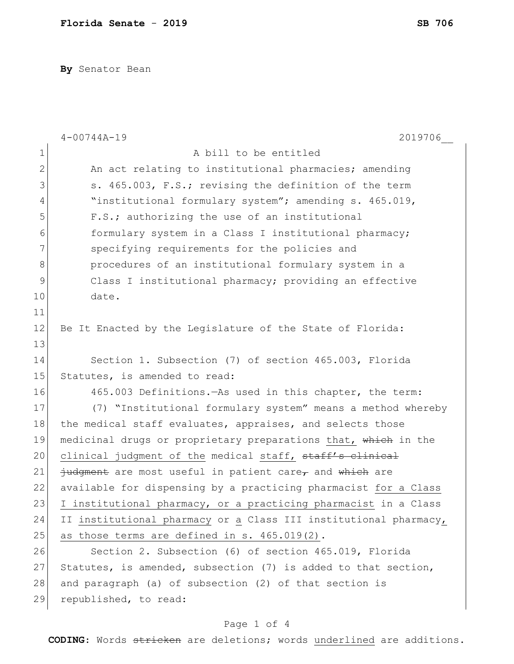**By** Senator Bean

|             | 2019706<br>$4 - 00744A - 19$                                     |  |  |  |  |  |  |  |
|-------------|------------------------------------------------------------------|--|--|--|--|--|--|--|
| $\mathbf 1$ | A bill to be entitled                                            |  |  |  |  |  |  |  |
| 2           | An act relating to institutional pharmacies; amending            |  |  |  |  |  |  |  |
| 3           | s. 465.003, F.S.; revising the definition of the term            |  |  |  |  |  |  |  |
| 4           | "institutional formulary system"; amending s. 465.019,           |  |  |  |  |  |  |  |
| 5           | F.S.; authorizing the use of an institutional                    |  |  |  |  |  |  |  |
| 6           | formulary system in a Class I institutional pharmacy;            |  |  |  |  |  |  |  |
| 7           | specifying requirements for the policies and                     |  |  |  |  |  |  |  |
| 8           | procedures of an institutional formulary system in a             |  |  |  |  |  |  |  |
| $\mathsf 9$ | Class I institutional pharmacy; providing an effective           |  |  |  |  |  |  |  |
| 10          | date.                                                            |  |  |  |  |  |  |  |
| 11          |                                                                  |  |  |  |  |  |  |  |
| 12          | Be It Enacted by the Legislature of the State of Florida:        |  |  |  |  |  |  |  |
| 13          |                                                                  |  |  |  |  |  |  |  |
| 14          | Section 1. Subsection (7) of section 465.003, Florida            |  |  |  |  |  |  |  |
| 15          | Statutes, is amended to read:                                    |  |  |  |  |  |  |  |
| 16          | 465.003 Definitions. - As used in this chapter, the term:        |  |  |  |  |  |  |  |
| 17          | (7) "Institutional formulary system" means a method whereby      |  |  |  |  |  |  |  |
| 18          | the medical staff evaluates, appraises, and selects those        |  |  |  |  |  |  |  |
| 19          | medicinal drugs or proprietary preparations that, which in the   |  |  |  |  |  |  |  |
| 20          | clinical judgment of the medical staff, staff's clinical         |  |  |  |  |  |  |  |
| 21          | judgment are most useful in patient care, and which are          |  |  |  |  |  |  |  |
| 22          | available for dispensing by a practicing pharmacist for a Class  |  |  |  |  |  |  |  |
| 23          | I institutional pharmacy, or a practicing pharmacist in a Class  |  |  |  |  |  |  |  |
| 24          | II institutional pharmacy or a Class III institutional pharmacy, |  |  |  |  |  |  |  |
| 25          | as those terms are defined in s. 465.019(2).                     |  |  |  |  |  |  |  |
| 26          | Section 2. Subsection (6) of section 465.019, Florida            |  |  |  |  |  |  |  |
| 27          | Statutes, is amended, subsection (7) is added to that section,   |  |  |  |  |  |  |  |
| 28          | and paragraph (a) of subsection (2) of that section is           |  |  |  |  |  |  |  |
| 29          | republished, to read:                                            |  |  |  |  |  |  |  |

## Page 1 of 4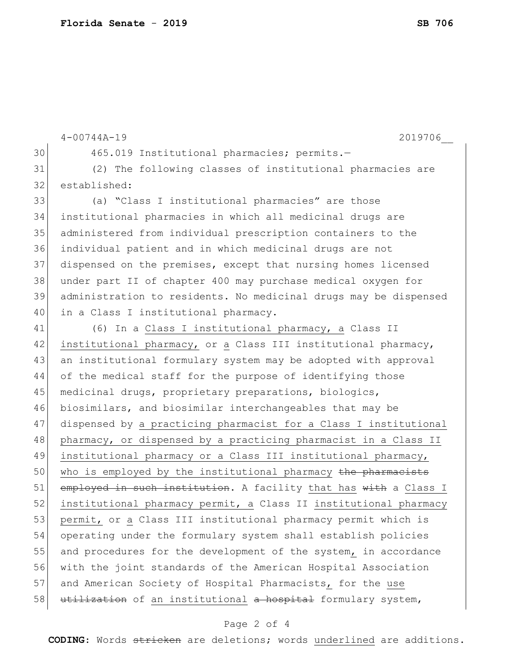```
4-00744A-19 2019706__
30 465.019 Institutional pharmacies; permits.-
31 (2) The following classes of institutional pharmacies are 
32 established:
33 (a) "Class I institutional pharmacies" are those 
34 institutional pharmacies in which all medicinal drugs are 
35 administered from individual prescription containers to the 
36 individual patient and in which medicinal drugs are not 
37 dispensed on the premises, except that nursing homes licensed 
38 under part II of chapter 400 may purchase medical oxygen for 
39 administration to residents. No medicinal drugs may be dispensed 
40 in a Class I institutional pharmacy.
41 (6) In a Class I institutional pharmacy, a Class II 
42 institutional pharmacy, or a Class III institutional pharmacy, 
43 an institutional formulary system may be adopted with approval 
44 of the medical staff for the purpose of identifying those
45 medicinal drugs, proprietary preparations, biologics, 
46 biosimilars, and biosimilar interchangeables that may be 
47 dispensed by a practicing pharmacist for a Class I institutional 
48 pharmacy, or dispensed by a practicing pharmacist in a Class II
49 institutional pharmacy or a Class III institutional pharmacy,
50 who is employed by the institutional pharmacy the pharmacists
51 employed in such institution. A facility that has with a Class I
52 institutional pharmacy permit, a Class II institutional pharmacy 
53 permit, or a Class III institutional pharmacy permit which is
54 operating under the formulary system shall establish policies 
55 and procedures for the development of the system, in accordance
56 with the joint standards of the American Hospital Association 
57 and American Society of Hospital Pharmacists, for the use
58 utilization of an institutional a hospital formulary system,
```
## Page 2 of 4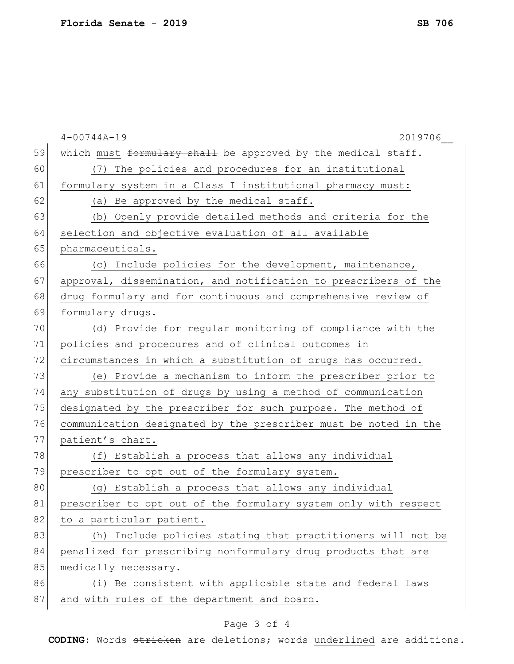|    | $4 - 00744A - 19$<br>2019706                                    |  |  |  |  |  |  |  |  |
|----|-----------------------------------------------------------------|--|--|--|--|--|--|--|--|
| 59 | which must formulary shall be approved by the medical staff.    |  |  |  |  |  |  |  |  |
| 60 | (7) The policies and procedures for an institutional            |  |  |  |  |  |  |  |  |
| 61 | formulary system in a Class I institutional pharmacy must:      |  |  |  |  |  |  |  |  |
| 62 | (a) Be approved by the medical staff.                           |  |  |  |  |  |  |  |  |
| 63 | (b) Openly provide detailed methods and criteria for the        |  |  |  |  |  |  |  |  |
| 64 | selection and objective evaluation of all available             |  |  |  |  |  |  |  |  |
| 65 | pharmaceuticals.                                                |  |  |  |  |  |  |  |  |
| 66 | (c) Include policies for the development, maintenance,          |  |  |  |  |  |  |  |  |
| 67 | approval, dissemination, and notification to prescribers of the |  |  |  |  |  |  |  |  |
| 68 | drug formulary and for continuous and comprehensive review of   |  |  |  |  |  |  |  |  |
| 69 | formulary drugs.                                                |  |  |  |  |  |  |  |  |
| 70 | (d) Provide for regular monitoring of compliance with the       |  |  |  |  |  |  |  |  |
| 71 | policies and procedures and of clinical outcomes in             |  |  |  |  |  |  |  |  |
| 72 | circumstances in which a substitution of drugs has occurred.    |  |  |  |  |  |  |  |  |
| 73 | (e) Provide a mechanism to inform the prescriber prior to       |  |  |  |  |  |  |  |  |
| 74 | any substitution of drugs by using a method of communication    |  |  |  |  |  |  |  |  |
| 75 | designated by the prescriber for such purpose. The method of    |  |  |  |  |  |  |  |  |
| 76 | communication designated by the prescriber must be noted in the |  |  |  |  |  |  |  |  |
| 77 | patient's chart.                                                |  |  |  |  |  |  |  |  |
| 78 | (f) Establish a process that allows any individual              |  |  |  |  |  |  |  |  |
| 79 | prescriber to opt out of the formulary system.                  |  |  |  |  |  |  |  |  |
| 80 | (g) Establish a process that allows any individual              |  |  |  |  |  |  |  |  |
| 81 | prescriber to opt out of the formulary system only with respect |  |  |  |  |  |  |  |  |
| 82 | to a particular patient.                                        |  |  |  |  |  |  |  |  |
| 83 | Include policies stating that practitioners will not be<br>(h)  |  |  |  |  |  |  |  |  |
| 84 | penalized for prescribing nonformulary drug products that are   |  |  |  |  |  |  |  |  |
| 85 | medically necessary.                                            |  |  |  |  |  |  |  |  |
| 86 | (i) Be consistent with applicable state and federal laws        |  |  |  |  |  |  |  |  |
| 87 | and with rules of the department and board.                     |  |  |  |  |  |  |  |  |
|    |                                                                 |  |  |  |  |  |  |  |  |

## Page 3 of 4